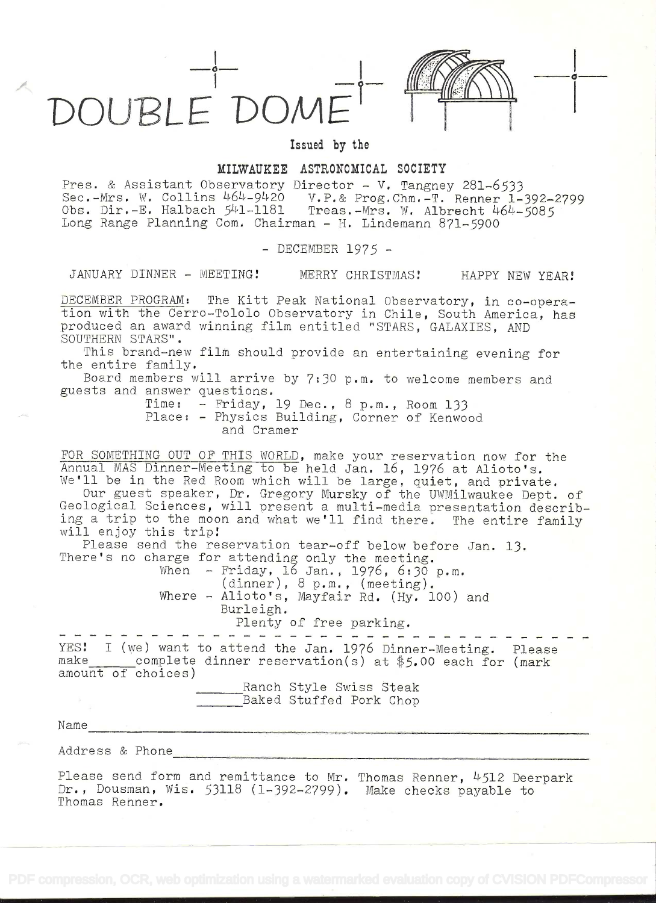



 $\circ$ 

## Issued by the

## MILWAUKEE ASTRONOMICAL SOCIETY

Pres. & Assistant Observatory Director - V. Tangney 281-6533 Sec.-Mrs. W. Collins 464-9420 V.P.& Prog.Chm.-T. Renner 1-392-2799 Obs. Dir.-E. Halbach 541-1181 Treas.-Mrs. W. Albrecht 464-5085 Long Range Planning Com. Chairman - H. Lindemann 871-5900

- DECEMBER 1975 -

JANUARY DINNER - MEETING! MERRY CHRISTMAS! HAPPY NEW YEAR!

DECEMBER PROGRAM: The Kitt Peak National Observatory, in co-operation with the Cerro-Tololo Observatory in Chile, South America, has produced an award winning film entitled "STARS, GALAXIES, AND SOUTHERN STARS".

This brand-new film should provide an entertaining evening for the entire family.

Board members will arrive by 7:30 p.m. to welcome members and guests and answer questions.

Time: - Friday, 19 Dec., 8 p.m., Room 133 \* Place: - Physics Building, Corner of Kenwood and Cramer

FOR SOMETHING OUT OF THIS WORLD, make your reservation now for the Annual MAS Dinner-Meeting to be held Jan. 16, 1976 at Alioto's. We'll be in the Red Room which will be large, quiet, and private.

Our guest speaker, Dr. Gregory Mursky of the UWMilwaukee Dept. of Geological Sciences, will present a multi-media presentation describing a trip to the moon and what we'll find there. The entire family will enjoy this trip!

Please send the reservation tear-off below before Jan. 13. There's no charge for attending only the meeting.

When - Friday, 16 Jan., 1976, 6:30 p.m. (dinner), 8 p.m. , (meeting). Where - Alioto's, Mayfair Rd. (Hy. lOO) and Burle igh.

Plenty of free parking.

------------YES: I (we) want to attend the Jan. 1976 Dinner-Meeting. Please make complete dinner reservation(s) at  $$5.00$  each for (mark amount of choices)

Ranch Style Swiss Steak Baked Stuffed Pork Chop

.<br>Maanana adalah mencapat gada yang dengan perjadi dalam pengalam pelang perbanya dan dalam mengalam perbanya da

Name

Address & Phone

Please send form and remittance to Mr. Thomas Renner, 4512 Deerpark Dr., Dousman, Wis. 53118 (1-392-2799). Make checks payable to Thomas Renner.